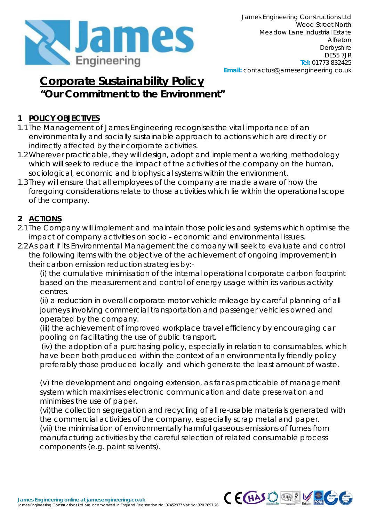

## **Corporate Sustainability Policy "Our Commitment to the Environment"**

## **1 POLICY OBJECTIVES**

- 1.1The Management of James Engineering recognises the vital importance of an environmentally and socially sustainable approach to actions which are directly or indirectly affected by their corporate activities.
- 1.2Wherever practicable, they will design, adopt and implement a working methodology which will seek to reduce the impact of the activities of the company on the human, sociological, economic and biophysical systems within the environment.
- 1.3They will ensure that all employees of the company are made aware of how the foregoing considerations relate to those activities which lie within the operational scope of the company.

## **2 ACTIONS**

- 2.1The Company will implement and maintain those policies and systems which optimise the impact of company activities on socio - economic and environmental issues.
- 2.2As part if its Environmental Management the company will seek to evaluate and control the following items with the objective of the achievement of ongoing improvement in their carbon emission reduction strategies by:-

(i) the cumulative minimisation of the internal operational corporate carbon footprint based on the measurement and control of energy usage within its various activity centres.

(ii) a reduction in overall corporate motor vehicle mileage by careful planning of all journeys involving commercial transportation and passenger vehicles owned and operated by the company.

(iii) the achievement of improved workplace travel efficiency by encouraging car pooling on facilitating the use of public transport.

(iv) the adoption of a purchasing policy, especially in relation to consumables, which have been both produced within the context of an environmentally friendly policy preferably those produced locally and which generate the least amount of waste.

(v) the development and ongoing extension, as far as practicable of management system which maximises electronic communication and date preservation and minimises the use of paper.

(vi)the collection segregation and recycling of all re-usable materials generated with the commercial activities of the company, especially scrap metal and paper. (vii) the minimisation of environmentally harmful gaseous emissions of fumes from manufacturing activities by the careful selection of related consumable process

components (e.g. paint solvents).